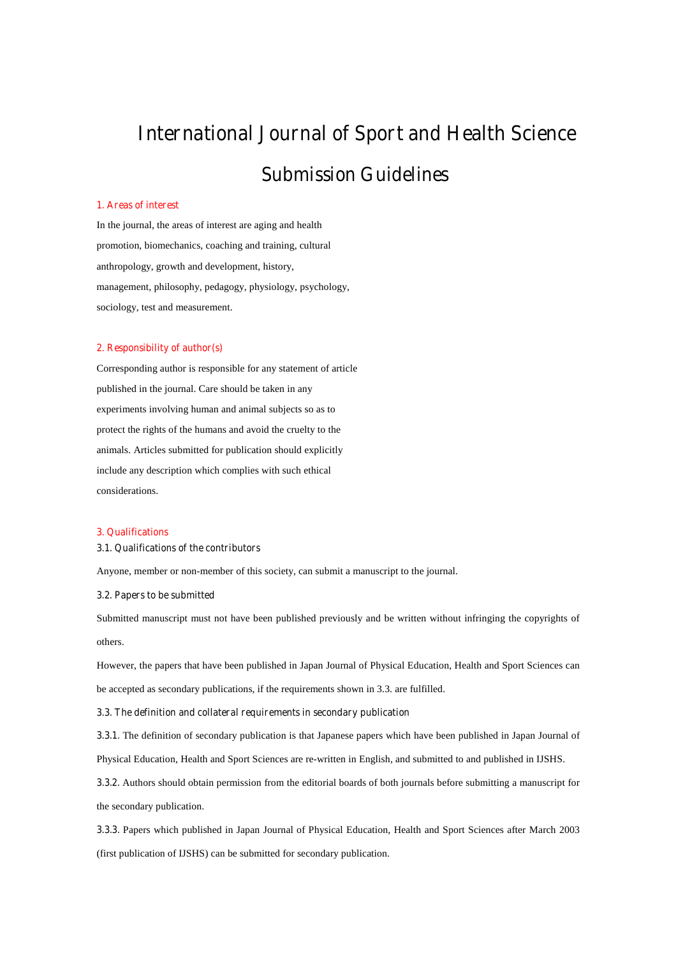# **International Journal of Sport and Health Science**

# **Submission Guidelines**

# **1. Areas of interest**

In the journal, the areas of interest are aging and health promotion, biomechanics, coaching and training, cultural anthropology, growth and development, history, management, philosophy, pedagogy, physiology, psychology, sociology, test and measurement.

#### **2. Responsibility of author(s)**

Corresponding author is responsible for any statement of article published in the journal. Care should be taken in any experiments involving human and animal subjects so as to protect the rights of the humans and avoid the cruelty to the animals. Articles submitted for publication should explicitly include any description which complies with such ethical considerations.

#### **3. Qualifications**

# **3.1. Qualifications of the contributors**

Anyone, member or non-member of this society, can submit a manuscript to the journal.

#### **3.2. Papers to be submitted**

Submitted manuscript must not have been published previously and be written without infringing the copyrights of others.

However, the papers that have been published in Japan Journal of Physical Education, Health and Sport Sciences can be accepted as secondary publications, if the requirements shown in 3.3. are fulfilled.

#### **3.3. The definition and collateral requirements in secondary publication**

**3.3.1.** The definition of secondary publication is that Japanese papers which have been published in Japan Journal of

Physical Education, Health and Sport Sciences are re-written in English, and submitted to and published in IJSHS.

**3.3.2.** Authors should obtain permission from the editorial boards of both journals before submitting a manuscript for the secondary publication.

**3.3.3.** Papers which published in Japan Journal of Physical Education, Health and Sport Sciences after March 2003 (first publication of IJSHS) can be submitted for secondary publication.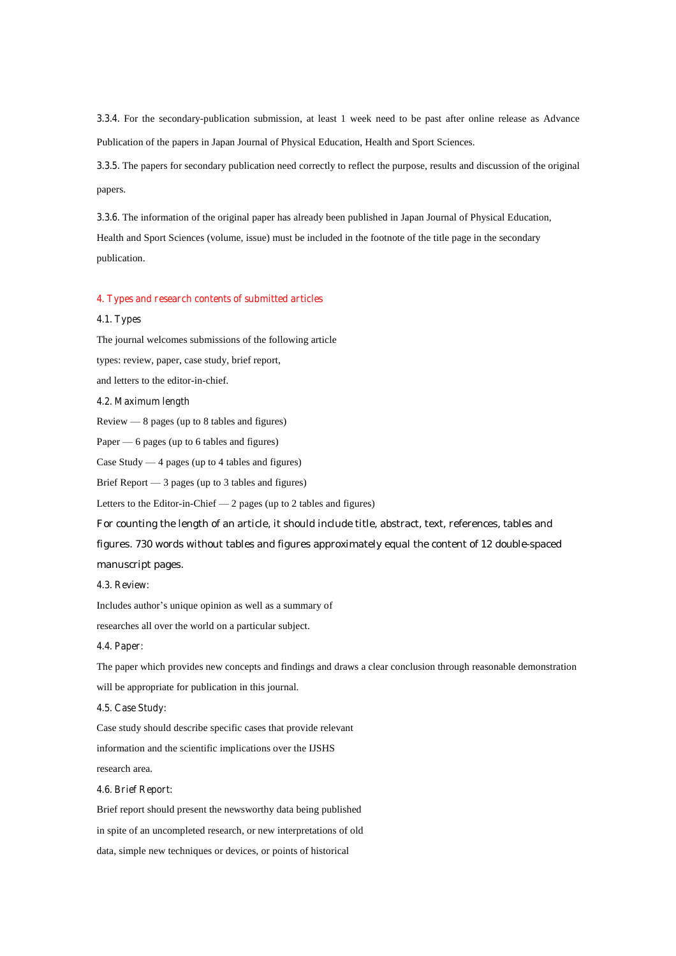**3.3.4.** For the secondary-publication submission, at least 1 week need to be past after online release as Advance Publication of the papers in Japan Journal of Physical Education, Health and Sport Sciences.

**3.3.5.** The papers for secondary publication need correctly to reflect the purpose, results and discussion of the original papers.

**3.3.6.** The information of the original paper has already been published in Japan Journal of Physical Education, Health and Sport Sciences (volume, issue) must be included in the footnote of the title page in the secondary publication.

#### **4. Types and research contents of submitted articles**

# **4.1. Types**

The journal welcomes submissions of the following article types: review, paper, case study, brief report, and letters to the editor-in-chief.

#### **4.2. Maximum length**

Review — 8 pages (up to 8 tables and figures)

Paper — 6 pages (up to 6 tables and figures)

Case Study — 4 pages (up to 4 tables and figures)

Brief Report — 3 pages (up to 3 tables and figures)

Letters to the Editor-in-Chief — 2 pages (up to 2 tables and figures)

For counting the length of an article, it should include title, abstract, text, references, tables and figures. 730 words without tables and figures approximately equal the content of 12 double-spaced manuscript pages.

#### **4.3. Review:**

Includes author's unique opinion as well as a summary of

researches all over the world on a particular subject.

# **4.4. Paper:**

The paper which provides new concepts and findings and draws a clear conclusion through reasonable demonstration will be appropriate for publication in this journal.

# **4.5. Case Study:**

Case study should describe specific cases that provide relevant

information and the scientific implications over the IJSHS

research area.

# **4.6. Brief Report:**

Brief report should present the newsworthy data being published in spite of an uncompleted research, or new interpretations of old data, simple new techniques or devices, or points of historical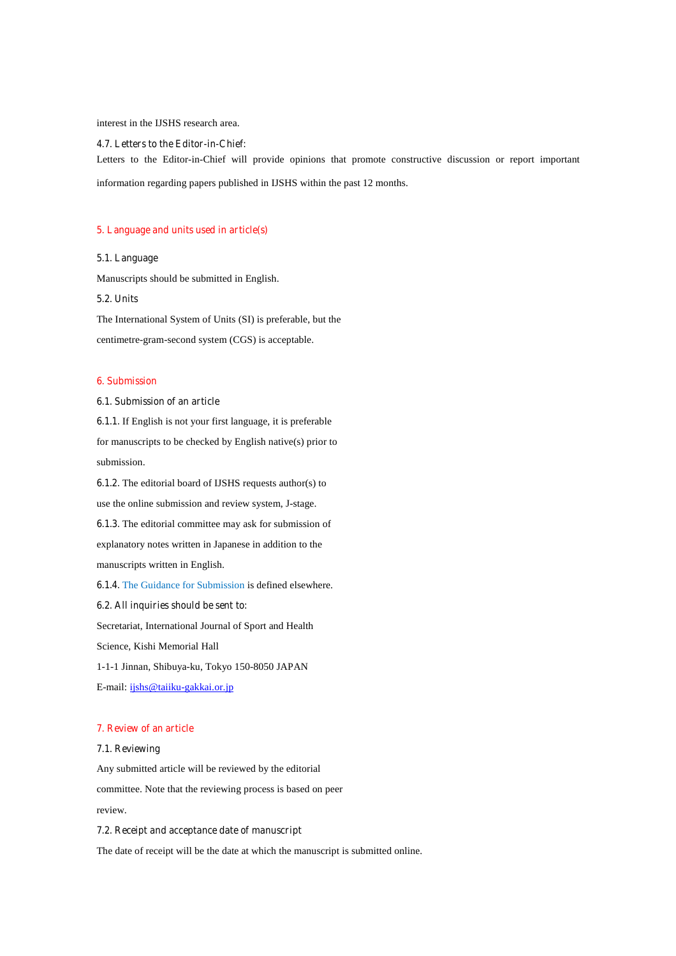#### interest in the IJSHS research area.

# **4.7. Letters to the Editor-in-Chief:**

Letters to the Editor-in-Chief will provide opinions that promote constructive discussion or report important

information regarding papers published in IJSHS within the past 12 months.

# **5. Language and units used in article(s)**

#### **5.1. Language**

Manuscripts should be submitted in English.

#### **5.2. Units**

The International System of Units (SI) is preferable, but the centimetre-gram-second system (CGS) is acceptable.

# **6. Submission**

#### **6.1. Submission of an article**

**6.1.1.** If English is not your first language, it is preferable for manuscripts to be checked by English native(s) prior to submission.

**6.1.2.** The editorial board of IJSHS requests author(s) to use the online submission and review system, J-stage. **6.1.3.** The editorial committee may ask for submission of

explanatory notes written in Japanese in addition to the manuscripts written in English.

**6.1.4.** The Guidance for Submission is defined elsewhere.

#### **6.2. All inquiries should be sent to:**

Secretariat, International Journal of Sport and Health

Science, Kishi Memorial Hall

1-1-1 Jinnan, Shibuya-ku, Tokyo 150-8050 JAPAN

E-mail: ijshs@taiiku-gakkai.or.jp

#### **7. Review of an article**

#### **7.1. Reviewing**

Any submitted article will be reviewed by the editorial committee. Note that the reviewing process is based on peer review.

#### **7.2. Receipt and acceptance date of manuscript**

The date of receipt will be the date at which the manuscript is submitted online.